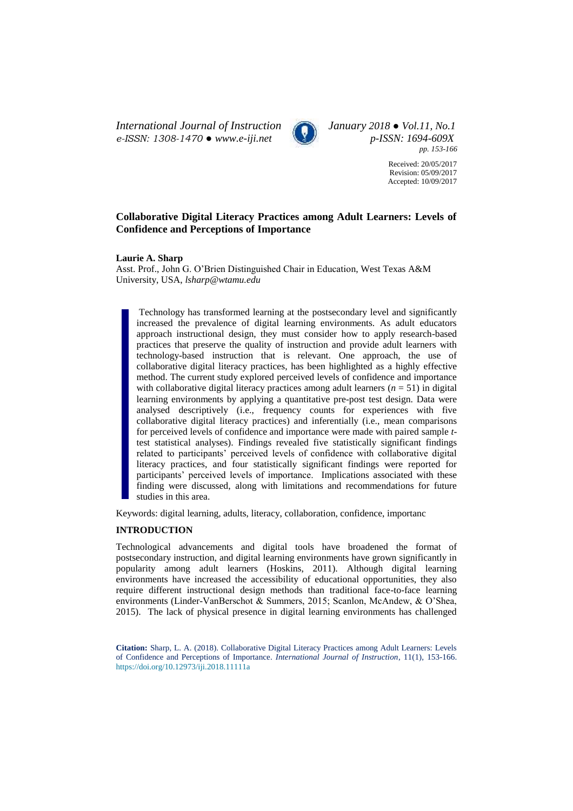*International Journal of Instruction January 2018 ● Vol.11, No.1 e-ISSN: 1308-1470 ● [www.e-iji.net](http://www.e-iji.net/) p-ISSN: 1694-609X*



*pp. 153-166*

Received: 20/05/2017 Revision: 05/09/2017 Accepted: 10/09/2017

# **Collaborative Digital Literacy Practices among Adult Learners: Levels of Confidence and Perceptions of Importance**

### **Laurie A. Sharp**

Asst. Prof., John G. O'Brien Distinguished Chair in Education, West Texas A&M University, USA, *lsharp@wtamu.edu*

Technology has transformed learning at the postsecondary level and significantly increased the prevalence of digital learning environments. As adult educators approach instructional design, they must consider how to apply research-based practices that preserve the quality of instruction and provide adult learners with technology-based instruction that is relevant. One approach, the use of collaborative digital literacy practices, has been highlighted as a highly effective method. The current study explored perceived levels of confidence and importance with collaborative digital literacy practices among adult learners  $(n = 51)$  in digital learning environments by applying a quantitative pre-post test design. Data were analysed descriptively (i.e., frequency counts for experiences with five collaborative digital literacy practices) and inferentially (i.e., mean comparisons for perceived levels of confidence and importance were made with paired sample *t*test statistical analyses). Findings revealed five statistically significant findings related to participants' perceived levels of confidence with collaborative digital literacy practices, and four statistically significant findings were reported for participants' perceived levels of importance. Implications associated with these finding were discussed, along with limitations and recommendations for future studies in this area.

Keywords: digital learning, adults, literacy, collaboration, confidence, importanc

# **INTRODUCTION**

Technological advancements and digital tools have broadened the format of postsecondary instruction, and digital learning environments have grown significantly in popularity among adult learners (Hoskins, 2011). Although digital learning environments have increased the accessibility of educational opportunities, they also require different instructional design methods than traditional face-to-face learning environments (Linder-VanBerschot & Summers, 2015; Scanlon, McAndew, & O'Shea, 2015). The lack of physical presence in digital learning environments has challenged

**Citation:** Sharp, L. A. (2018). Collaborative Digital Literacy Practices among Adult Learners: Levels of Confidence and Perceptions of Importance. *International Journal of Instruction*, 11(1), 153-166. <https://doi.org/10.12973/iji.2018.11111a>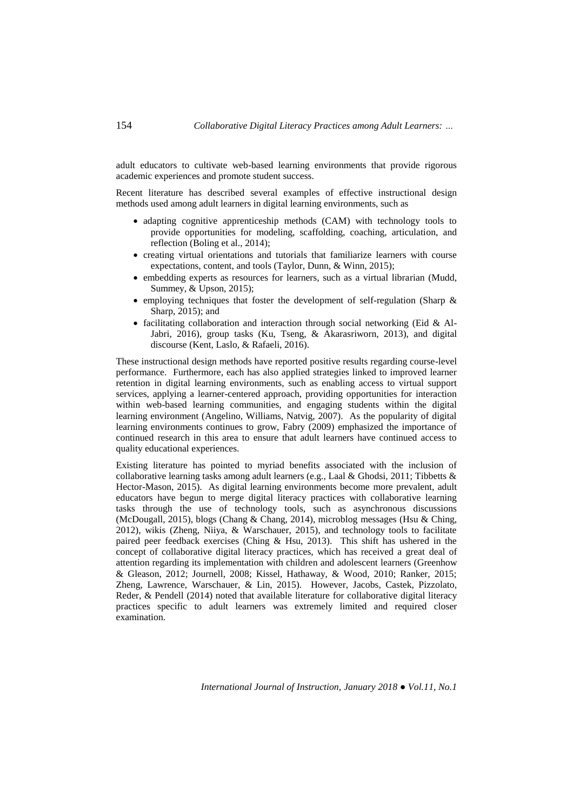adult educators to cultivate web-based learning environments that provide rigorous academic experiences and promote student success.

Recent literature has described several examples of effective instructional design methods used among adult learners in digital learning environments, such as

- adapting cognitive apprenticeship methods (CAM) with technology tools to provide opportunities for modeling, scaffolding, coaching, articulation, and reflection (Boling et al., 2014);
- creating virtual orientations and tutorials that familiarize learners with course expectations, content, and tools (Taylor, Dunn, & Winn, 2015);
- embedding experts as resources for learners, such as a virtual librarian (Mudd, Summey, & Upson, 2015);
- employing techniques that foster the development of self-regulation (Sharp  $\&$ Sharp, 2015); and
- facilitating collaboration and interaction through social networking (Eid & Al-Jabri, 2016), group tasks (Ku, Tseng, & Akarasriworn, 2013), and digital discourse (Kent, Laslo, & Rafaeli, 2016).

These instructional design methods have reported positive results regarding course-level performance. Furthermore, each has also applied strategies linked to improved learner retention in digital learning environments, such as enabling access to virtual support services, applying a learner-centered approach, providing opportunities for interaction within web-based learning communities, and engaging students within the digital learning environment (Angelino, Williams, Natvig, 2007). As the popularity of digital learning environments continues to grow, Fabry (2009) emphasized the importance of continued research in this area to ensure that adult learners have continued access to quality educational experiences.

Existing literature has pointed to myriad benefits associated with the inclusion of collaborative learning tasks among adult learners (e.g., Laal & Ghodsi, 2011; Tibbetts & Hector-Mason, 2015). As digital learning environments become more prevalent, adult educators have begun to merge digital literacy practices with collaborative learning tasks through the use of technology tools, such as asynchronous discussions (McDougall, 2015), blogs (Chang & Chang, 2014), microblog messages (Hsu & Ching, 2012), wikis (Zheng, Niiya, & Warschauer, 2015), and technology tools to facilitate paired peer feedback exercises (Ching & Hsu, 2013). This shift has ushered in the concept of collaborative digital literacy practices, which has received a great deal of attention regarding its implementation with children and adolescent learners (Greenhow & Gleason, 2012; Journell, 2008; Kissel, Hathaway, & Wood, 2010; Ranker, 2015; Zheng, Lawrence, Warschauer, & Lin, 2015). However, Jacobs, Castek, Pizzolato, Reder, & Pendell (2014) noted that available literature for collaborative digital literacy practices specific to adult learners was extremely limited and required closer examination.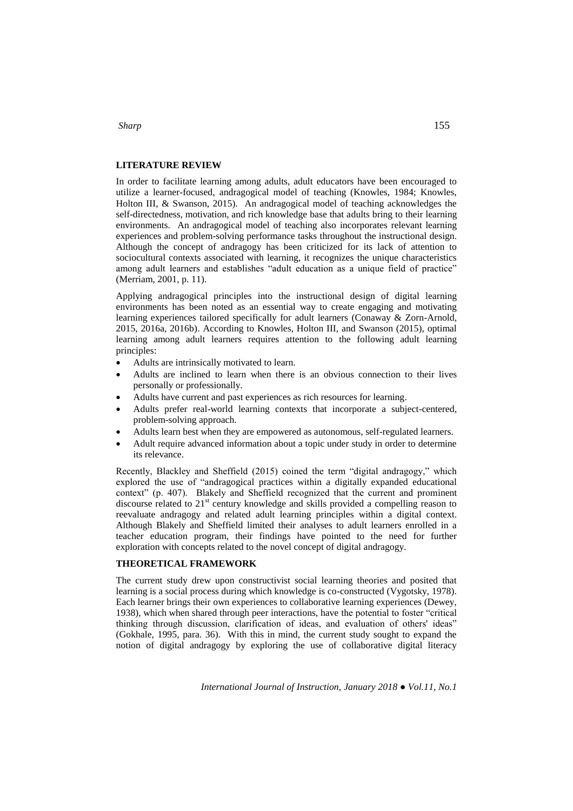## **LITERATURE REVIEW**

In order to facilitate learning among adults, adult educators have been encouraged to utilize a learner-focused, andragogical model of teaching (Knowles, 1984; Knowles, Holton III, & Swanson, 2015). An andragogical model of teaching acknowledges the self-directedness, motivation, and rich knowledge base that adults bring to their learning environments. An andragogical model of teaching also incorporates relevant learning experiences and problem-solving performance tasks throughout the instructional design. Although the concept of andragogy has been criticized for its lack of attention to sociocultural contexts associated with learning, it recognizes the unique characteristics among adult learners and establishes "adult education as a unique field of practice" (Merriam, 2001, p. 11).

Applying andragogical principles into the instructional design of digital learning environments has been noted as an essential way to create engaging and motivating learning experiences tailored specifically for adult learners (Conaway & Zorn-Arnold, 2015, 2016a, 2016b). According to Knowles, Holton III, and Swanson (2015), optimal learning among adult learners requires attention to the following adult learning principles:

- Adults are intrinsically motivated to learn.
- Adults are inclined to learn when there is an obvious connection to their lives personally or professionally.
- Adults have current and past experiences as rich resources for learning.
- Adults prefer real-world learning contexts that incorporate a subject-centered, problem-solving approach.
- Adults learn best when they are empowered as autonomous, self-regulated learners.
- Adult require advanced information about a topic under study in order to determine its relevance.

Recently, Blackley and Sheffield (2015) coined the term "digital andragogy," which explored the use of "andragogical practices within a digitally expanded educational context" (p. 407). Blakely and Sheffield recognized that the current and prominent discourse related to  $21<sup>st</sup>$  century knowledge and skills provided a compelling reason to reevaluate andragogy and related adult learning principles within a digital context. Although Blakely and Sheffield limited their analyses to adult learners enrolled in a teacher education program, their findings have pointed to the need for further exploration with concepts related to the novel concept of digital andragogy.

## **THEORETICAL FRAMEWORK**

The current study drew upon constructivist social learning theories and posited that learning is a social process during which knowledge is co-constructed (Vygotsky, 1978). Each learner brings their own experiences to collaborative learning experiences (Dewey, 1938), which when shared through peer interactions, have the potential to foster "critical thinking through discussion, clarification of ideas, and evaluation of others' ideas" (Gokhale, 1995, para. 36). With this in mind, the current study sought to expand the notion of digital andragogy by exploring the use of collaborative digital literacy

*International Journal of Instruction, January 2018 ● Vol.11, No.1*

## *Sharp* 155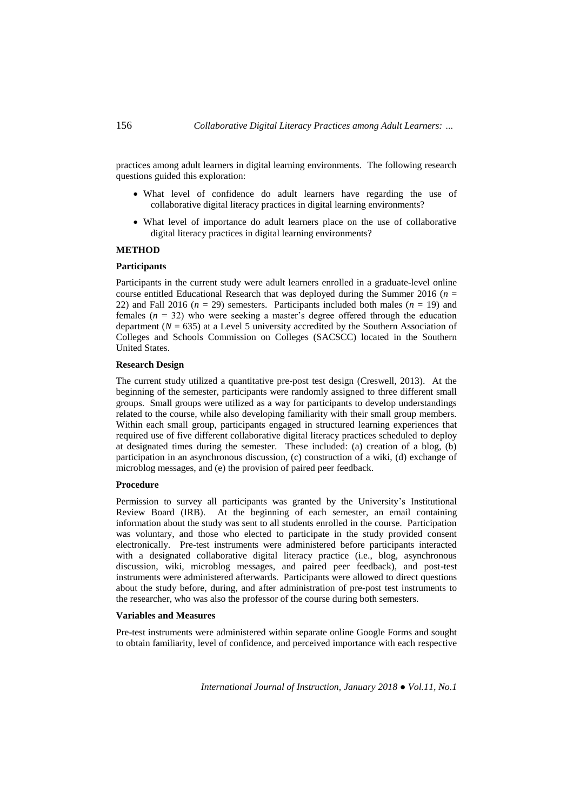practices among adult learners in digital learning environments. The following research questions guided this exploration:

- What level of confidence do adult learners have regarding the use of collaborative digital literacy practices in digital learning environments?
- What level of importance do adult learners place on the use of collaborative digital literacy practices in digital learning environments?

### **METHOD**

#### **Participants**

Participants in the current study were adult learners enrolled in a graduate-level online course entitled Educational Research that was deployed during the Summer 2016 (*n* = 22) and Fall 2016 ( $n = 29$ ) semesters. Participants included both males ( $n = 19$ ) and females  $(n = 32)$  who were seeking a master's degree offered through the education department  $(N = 635)$  at a Level 5 university accredited by the Southern Association of Colleges and Schools Commission on Colleges (SACSCC) located in the Southern United States.

### **Research Design**

The current study utilized a quantitative pre-post test design (Creswell, 2013). At the beginning of the semester, participants were randomly assigned to three different small groups. Small groups were utilized as a way for participants to develop understandings related to the course, while also developing familiarity with their small group members. Within each small group, participants engaged in structured learning experiences that required use of five different collaborative digital literacy practices scheduled to deploy at designated times during the semester. These included: (a) creation of a blog, (b) participation in an asynchronous discussion, (c) construction of a wiki, (d) exchange of microblog messages, and (e) the provision of paired peer feedback.

### **Procedure**

Permission to survey all participants was granted by the University's Institutional Review Board (IRB). At the beginning of each semester, an email containing information about the study was sent to all students enrolled in the course. Participation was voluntary, and those who elected to participate in the study provided consent electronically. Pre-test instruments were administered before participants interacted with a designated collaborative digital literacy practice (i.e., blog, asynchronous discussion, wiki, microblog messages, and paired peer feedback), and post-test instruments were administered afterwards. Participants were allowed to direct questions about the study before, during, and after administration of pre-post test instruments to the researcher, who was also the professor of the course during both semesters.

#### **Variables and Measures**

Pre-test instruments were administered within separate online Google Forms and sought to obtain familiarity, level of confidence, and perceived importance with each respective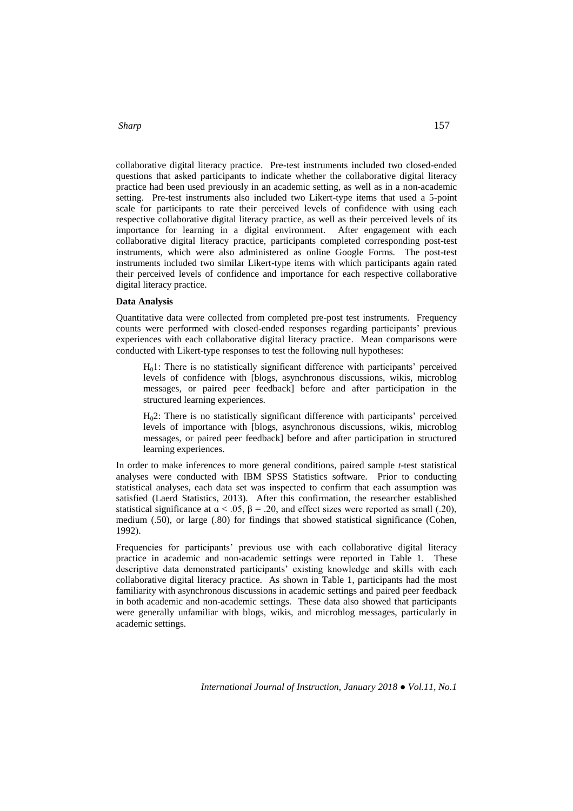collaborative digital literacy practice. Pre-test instruments included two closed-ended questions that asked participants to indicate whether the collaborative digital literacy practice had been used previously in an academic setting, as well as in a non-academic setting. Pre-test instruments also included two Likert-type items that used a 5-point scale for participants to rate their perceived levels of confidence with using each respective collaborative digital literacy practice, as well as their perceived levels of its importance for learning in a digital environment. After engagement with each collaborative digital literacy practice, participants completed corresponding post-test instruments, which were also administered as online Google Forms. The post-test instruments included two similar Likert-type items with which participants again rated their perceived levels of confidence and importance for each respective collaborative digital literacy practice.

### **Data Analysis**

Quantitative data were collected from completed pre-post test instruments. Frequency counts were performed with closed-ended responses regarding participants' previous experiences with each collaborative digital literacy practice. Mean comparisons were conducted with Likert-type responses to test the following null hypotheses:

 $H<sub>0</sub>$ 1: There is no statistically significant difference with participants' perceived levels of confidence with [blogs, asynchronous discussions, wikis, microblog messages, or paired peer feedback] before and after participation in the structured learning experiences.

H02: There is no statistically significant difference with participants' perceived levels of importance with [blogs, asynchronous discussions, wikis, microblog messages, or paired peer feedback] before and after participation in structured learning experiences.

In order to make inferences to more general conditions, paired sample *t*-test statistical analyses were conducted with IBM SPSS Statistics software. Prior to conducting statistical analyses, each data set was inspected to confirm that each assumption was satisfied (Laerd Statistics, 2013). After this confirmation, the researcher established statistical significance at  $\alpha$  < .05,  $\beta$  = .20, and effect sizes were reported as small (.20), medium (.50), or large (.80) for findings that showed statistical significance (Cohen, 1992).

Frequencies for participants' previous use with each collaborative digital literacy practice in academic and non-academic settings were reported in Table 1. These descriptive data demonstrated participants' existing knowledge and skills with each collaborative digital literacy practice. As shown in Table 1, participants had the most familiarity with asynchronous discussions in academic settings and paired peer feedback in both academic and non-academic settings. These data also showed that participants were generally unfamiliar with blogs, wikis, and microblog messages, particularly in academic settings.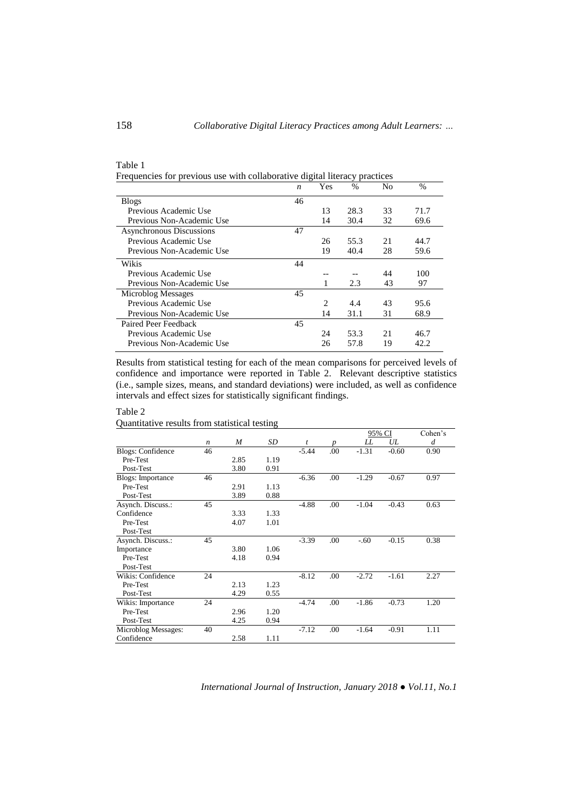| Frequencies for previous use with collaborative digital literacy practices |    |     |      |    |      |
|----------------------------------------------------------------------------|----|-----|------|----|------|
|                                                                            | n  | Yes | $\%$ | No | $\%$ |
| <b>Blogs</b>                                                               | 46 |     |      |    |      |
| Previous Academic Use                                                      |    | 13  | 28.3 | 33 | 71.7 |
| Previous Non-Academic Use                                                  |    | 14  | 30.4 | 32 | 69.6 |
| Asynchronous Discussions                                                   | 47 |     |      |    |      |
| Previous Academic Use                                                      |    | 26  | 55.3 | 21 | 44.7 |
| Previous Non-Academic Use                                                  |    | 19  | 40.4 | 28 | 59.6 |
| Wikis                                                                      | 44 |     |      |    |      |
| Previous Academic Use                                                      |    |     |      | 44 | 100  |
| Previous Non-Academic Use                                                  |    | 1   | 2.3  | 43 | 97   |
| Microblog Messages                                                         | 45 |     |      |    |      |
| Previous Academic Use                                                      |    | 2   | 4.4  | 43 | 95.6 |
| Previous Non-Academic Use                                                  |    | 14  | 31.1 | 31 | 68.9 |
| Paired Peer Feedback                                                       | 45 |     |      |    |      |
| Previous Academic Use                                                      |    | 24  | 53.3 | 21 | 46.7 |
| Previous Non-Academic Use                                                  |    | 26  | 57.8 | 19 | 42.2 |

Results from statistical testing for each of the mean comparisons for perceived levels of confidence and importance were reported in Table 2. Relevant descriptive statistics (i.e., sample sizes, means, and standard deviations) were included, as well as confidence intervals and effect sizes for statistically significant findings.

### Table 2

|                          |                  |      |      |         |                  | 95% CI  |         | Cohen's          |
|--------------------------|------------------|------|------|---------|------------------|---------|---------|------------------|
|                          | $\boldsymbol{n}$ | M    | SD   | t       | $\boldsymbol{D}$ | LL      | UL      | $\boldsymbol{d}$ |
| <b>Blogs:</b> Confidence | 46               |      |      | $-5.44$ | .00              | $-1.31$ | $-0.60$ | 0.90             |
| Pre-Test                 |                  | 2.85 | 1.19 |         |                  |         |         |                  |
| Post-Test                |                  | 3.80 | 0.91 |         |                  |         |         |                  |
| <b>Blogs:</b> Importance | 46               |      |      | $-6.36$ | .00              | $-1.29$ | $-0.67$ | 0.97             |
| Pre-Test                 |                  | 2.91 | 1.13 |         |                  |         |         |                  |
| Post-Test                |                  | 3.89 | 0.88 |         |                  |         |         |                  |
| Asynch. Discuss.:        | 45               |      |      | $-4.88$ | .00              | $-1.04$ | $-0.43$ | 0.63             |
| Confidence               |                  | 3.33 | 1.33 |         |                  |         |         |                  |
| Pre-Test                 |                  | 4.07 | 1.01 |         |                  |         |         |                  |
| Post-Test                |                  |      |      |         |                  |         |         |                  |
| Asynch. Discuss.:        | 45               |      |      | $-3.39$ | .00              | $-.60$  | $-0.15$ | 0.38             |
| Importance               |                  | 3.80 | 1.06 |         |                  |         |         |                  |
| Pre-Test                 |                  | 4.18 | 0.94 |         |                  |         |         |                  |
| Post-Test                |                  |      |      |         |                  |         |         |                  |
| Wikis: Confidence        | 24               |      |      | $-8.12$ | .00              | $-2.72$ | $-1.61$ | 2.27             |
| Pre-Test                 |                  | 2.13 | 1.23 |         |                  |         |         |                  |
| Post-Test                |                  | 4.29 | 0.55 |         |                  |         |         |                  |
| Wikis: Importance        | 24               |      |      | $-4.74$ | .00              | $-1.86$ | $-0.73$ | 1.20             |
| Pre-Test                 |                  | 2.96 | 1.20 |         |                  |         |         |                  |
| Post-Test                |                  | 4.25 | 0.94 |         |                  |         |         |                  |
| Microblog Messages:      | 40               |      |      | $-7.12$ | .00              | $-1.64$ | $-0.91$ | 1.11             |
| Confidence               |                  | 2.58 | 1.11 |         |                  |         |         |                  |

*International Journal of Instruction, January 2018 ● Vol.11, No.1*

Table 1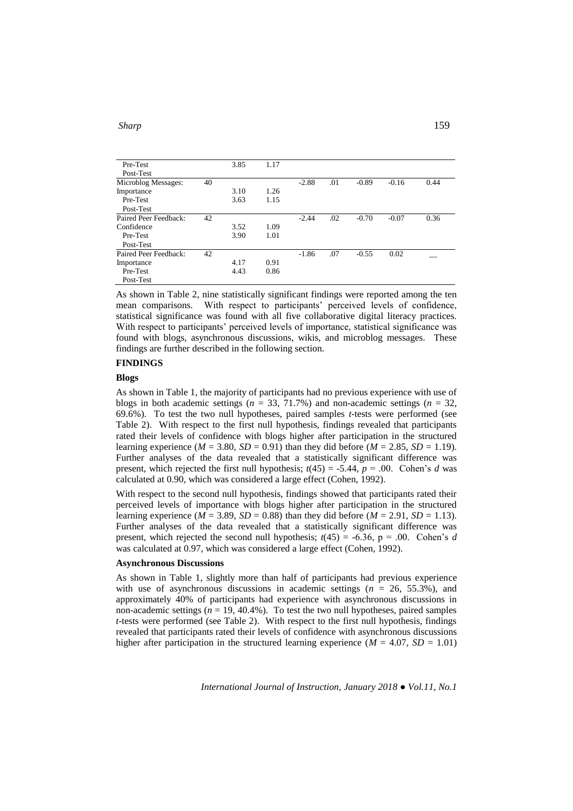| Pre-Test              |    | 3.85 | 1.17 |         |     |         |         |      |
|-----------------------|----|------|------|---------|-----|---------|---------|------|
| Post-Test             |    |      |      |         |     |         |         |      |
| Microblog Messages:   | 40 |      |      | $-2.88$ | .01 | $-0.89$ | $-0.16$ | 0.44 |
| Importance            |    | 3.10 | 1.26 |         |     |         |         |      |
| Pre-Test              |    | 3.63 | 1.15 |         |     |         |         |      |
| Post-Test             |    |      |      |         |     |         |         |      |
| Paired Peer Feedback: | 42 |      |      | $-2.44$ | .02 | $-0.70$ | $-0.07$ | 0.36 |
| Confidence            |    | 3.52 | 1.09 |         |     |         |         |      |
| Pre-Test              |    | 3.90 | 1.01 |         |     |         |         |      |
| Post-Test             |    |      |      |         |     |         |         |      |
| Paired Peer Feedback: | 42 |      |      | $-1.86$ | .07 | $-0.55$ | 0.02    |      |
| Importance            |    | 4.17 | 0.91 |         |     |         |         |      |
| Pre-Test              |    | 4.43 | 0.86 |         |     |         |         |      |
| Post-Test             |    |      |      |         |     |         |         |      |

As shown in Table 2, nine statistically significant findings were reported among the ten mean comparisons. With respect to participants' perceived levels of confidence, statistical significance was found with all five collaborative digital literacy practices. With respect to participants' perceived levels of importance, statistical significance was found with blogs, asynchronous discussions, wikis, and microblog messages. These findings are further described in the following section.

# **FINDINGS**

### **Blogs**

As shown in Table 1, the majority of participants had no previous experience with use of blogs in both academic settings ( $n = 33, 71.7\%$ ) and non-academic settings ( $n = 32$ , 69.6%). To test the two null hypotheses, paired samples *t*-tests were performed (see Table 2). With respect to the first null hypothesis, findings revealed that participants rated their levels of confidence with blogs higher after participation in the structured learning experience ( $M = 3.80$ ,  $SD = 0.91$ ) than they did before ( $M = 2.85$ ,  $SD = 1.19$ ). Further analyses of the data revealed that a statistically significant difference was present, which rejected the first null hypothesis;  $t(45) = -5.44$ ,  $p = .00$ . Cohen's *d* was calculated at 0.90, which was considered a large effect (Cohen, 1992).

With respect to the second null hypothesis, findings showed that participants rated their perceived levels of importance with blogs higher after participation in the structured learning experience ( $M = 3.89$ ,  $SD = 0.88$ ) than they did before ( $M = 2.91$ ,  $SD = 1.13$ ). Further analyses of the data revealed that a statistically significant difference was present, which rejected the second null hypothesis;  $t(45) = -6.36$ ,  $p = .00$ . Cohen's *d* was calculated at 0.97, which was considered a large effect (Cohen, 1992).

#### **Asynchronous Discussions**

As shown in Table 1, slightly more than half of participants had previous experience with use of asynchronous discussions in academic settings  $(n = 26, 55.3\%)$ , and approximately 40% of participants had experience with asynchronous discussions in non-academic settings  $(n = 19, 40.4\%)$ . To test the two null hypotheses, paired samples *t*-tests were performed (see Table 2). With respect to the first null hypothesis, findings revealed that participants rated their levels of confidence with asynchronous discussions higher after participation in the structured learning experience  $(M = 4.07, SD = 1.01)$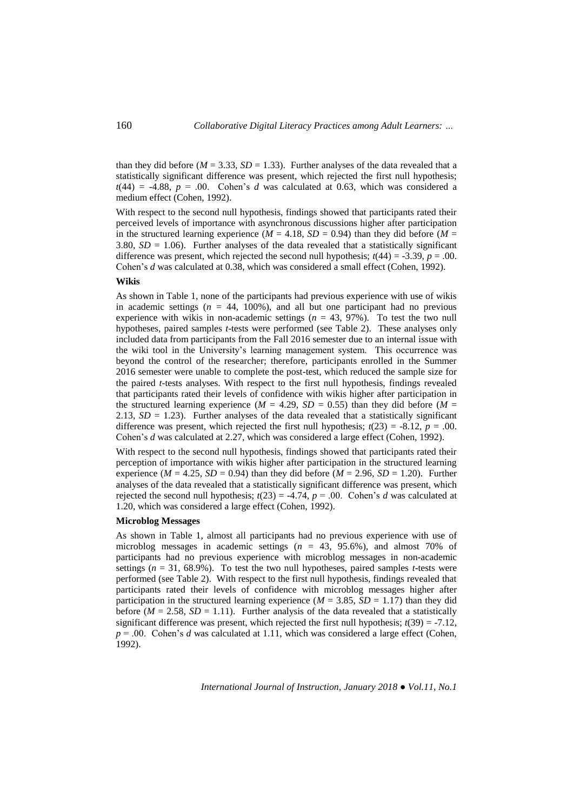than they did before ( $M = 3.33$ ,  $SD = 1.33$ ). Further analyses of the data revealed that a statistically significant difference was present, which rejected the first null hypothesis;  $t(44) = -4.88$ ,  $p = .00$ . Cohen's *d* was calculated at 0.63, which was considered a medium effect (Cohen, 1992).

With respect to the second null hypothesis, findings showed that participants rated their perceived levels of importance with asynchronous discussions higher after participation in the structured learning experience ( $M = 4.18$ ,  $SD = 0.94$ ) than they did before ( $M =$ 3.80,  $SD = 1.06$ ). Further analyses of the data revealed that a statistically significant difference was present, which rejected the second null hypothesis;  $t(44) = -3.39$ ,  $p = .00$ . Cohen's *d* was calculated at 0.38, which was considered a small effect (Cohen, 1992).

### **Wikis**

As shown in Table 1, none of the participants had previous experience with use of wikis in academic settings  $(n = 44, 100\%)$ , and all but one participant had no previous experience with wikis in non-academic settings  $(n = 43, 97%)$ . To test the two null hypotheses, paired samples *t*-tests were performed (see Table 2). These analyses only included data from participants from the Fall 2016 semester due to an internal issue with the wiki tool in the University's learning management system. This occurrence was beyond the control of the researcher; therefore, participants enrolled in the Summer 2016 semester were unable to complete the post-test, which reduced the sample size for the paired *t-*tests analyses. With respect to the first null hypothesis, findings revealed that participants rated their levels of confidence with wikis higher after participation in the structured learning experience ( $M = 4.29$ ,  $SD = 0.55$ ) than they did before ( $M =$ 2.13,  $SD = 1.23$ ). Further analyses of the data revealed that a statistically significant difference was present, which rejected the first null hypothesis;  $t(23) = -8.12$ ,  $p = .00$ . Cohen's *d* was calculated at 2.27, which was considered a large effect (Cohen, 1992).

With respect to the second null hypothesis, findings showed that participants rated their perception of importance with wikis higher after participation in the structured learning experience  $(M = 4.25, SD = 0.94)$  than they did before  $(M = 2.96, SD = 1.20)$ . Further analyses of the data revealed that a statistically significant difference was present, which rejected the second null hypothesis;  $t(23) = -4.74$ ,  $p = .00$ . Cohen's *d* was calculated at 1.20, which was considered a large effect (Cohen, 1992).

#### **Microblog Messages**

As shown in Table 1, almost all participants had no previous experience with use of microblog messages in academic settings (*n* = 43, 95.6%), and almost 70% of participants had no previous experience with microblog messages in non-academic settings  $(n = 31, 68.9\%)$ . To test the two null hypotheses, paired samples *t*-tests were performed (see Table 2). With respect to the first null hypothesis, findings revealed that participants rated their levels of confidence with microblog messages higher after participation in the structured learning experience ( $M = 3.85$ ,  $SD = 1.17$ ) than they did before ( $M = 2.58$ ,  $SD = 1.11$ ). Further analysis of the data revealed that a statistically significant difference was present, which rejected the first null hypothesis;  $t(39) = -7.12$ ,  $p = 0.00$ . Cohen's *d* was calculated at 1.11, which was considered a large effect (Cohen, 1992).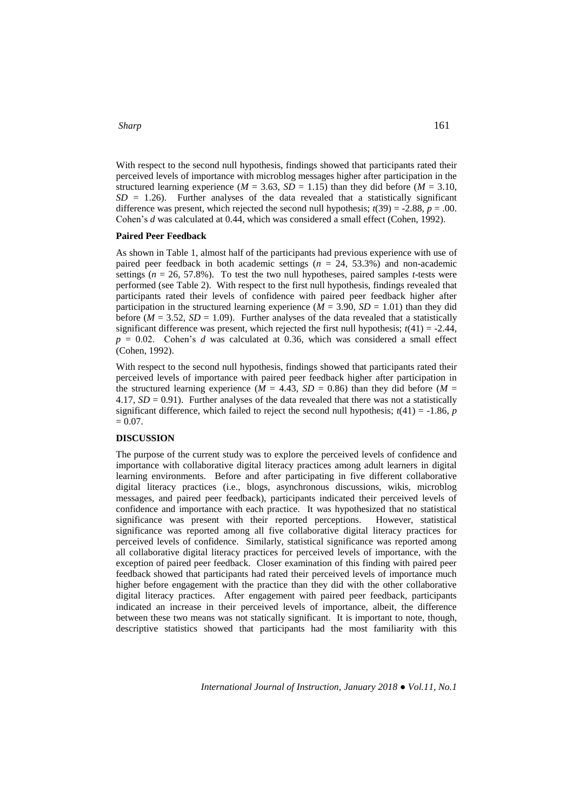With respect to the second null hypothesis, findings showed that participants rated their perceived levels of importance with microblog messages higher after participation in the structured learning experience ( $M = 3.63$ ,  $SD = 1.15$ ) than they did before ( $M = 3.10$ ,  $SD = 1.26$ . Further analyses of the data revealed that a statistically significant difference was present, which rejected the second null hypothesis;  $t(39) = -2.88$ ,  $p = .00$ . Cohen's *d* was calculated at 0.44, which was considered a small effect (Cohen, 1992).

### **Paired Peer Feedback**

As shown in Table 1, almost half of the participants had previous experience with use of paired peer feedback in both academic settings  $(n = 24, 53.3%)$  and non-academic settings ( $n = 26, 57.8\%$ ). To test the two null hypotheses, paired samples *t*-tests were performed (see Table 2). With respect to the first null hypothesis, findings revealed that participants rated their levels of confidence with paired peer feedback higher after participation in the structured learning experience ( $\dot{M} = 3.90$ ,  $SD = 1.01$ ) than they did before ( $M = 3.52$ ,  $SD = 1.09$ ). Further analyses of the data revealed that a statistically significant difference was present, which rejected the first null hypothesis;  $t(41) = -2.44$ ,  $p = 0.02$ . Cohen's *d* was calculated at 0.36, which was considered a small effect (Cohen, 1992).

With respect to the second null hypothesis, findings showed that participants rated their perceived levels of importance with paired peer feedback higher after participation in the structured learning experience ( $M = 4.43$ ,  $SD = 0.86$ ) than they did before ( $M =$ 4.17,  $SD = 0.91$ ). Further analyses of the data revealed that there was not a statistically significant difference, which failed to reject the second null hypothesis;  $t(41) = -1.86$ , *p*  $= 0.07.$ 

# **DISCUSSION**

The purpose of the current study was to explore the perceived levels of confidence and importance with collaborative digital literacy practices among adult learners in digital learning environments. Before and after participating in five different collaborative digital literacy practices (i.e., blogs, asynchronous discussions, wikis, microblog messages, and paired peer feedback), participants indicated their perceived levels of confidence and importance with each practice. It was hypothesized that no statistical significance was present with their reported perceptions. However, statistical significance was reported among all five collaborative digital literacy practices for perceived levels of confidence. Similarly, statistical significance was reported among all collaborative digital literacy practices for perceived levels of importance, with the exception of paired peer feedback. Closer examination of this finding with paired peer feedback showed that participants had rated their perceived levels of importance much higher before engagement with the practice than they did with the other collaborative digital literacy practices. After engagement with paired peer feedback, participants indicated an increase in their perceived levels of importance, albeit, the difference between these two means was not statically significant. It is important to note, though, descriptive statistics showed that participants had the most familiarity with this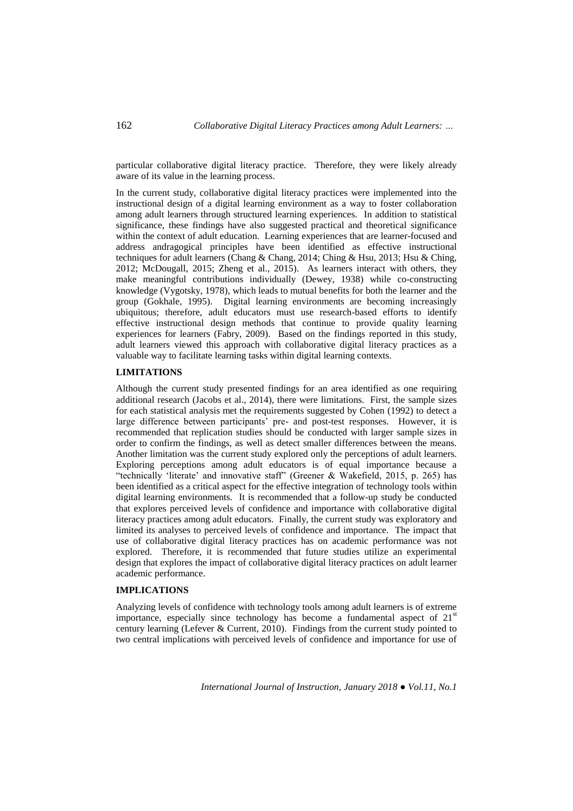particular collaborative digital literacy practice. Therefore, they were likely already aware of its value in the learning process.

In the current study, collaborative digital literacy practices were implemented into the instructional design of a digital learning environment as a way to foster collaboration among adult learners through structured learning experiences. In addition to statistical significance, these findings have also suggested practical and theoretical significance within the context of adult education. Learning experiences that are learner-focused and address andragogical principles have been identified as effective instructional techniques for adult learners (Chang & Chang, 2014; Ching & Hsu, 2013; Hsu & Ching, 2012; McDougall, 2015; Zheng et al., 2015). As learners interact with others, they make meaningful contributions individually (Dewey, 1938) while co-constructing knowledge (Vygotsky, 1978), which leads to mutual benefits for both the learner and the group (Gokhale, 1995). Digital learning environments are becoming increasingly ubiquitous; therefore, adult educators must use research-based efforts to identify effective instructional design methods that continue to provide quality learning experiences for learners (Fabry, 2009). Based on the findings reported in this study, adult learners viewed this approach with collaborative digital literacy practices as a valuable way to facilitate learning tasks within digital learning contexts.

### **LIMITATIONS**

Although the current study presented findings for an area identified as one requiring additional research (Jacobs et al., 2014), there were limitations. First, the sample sizes for each statistical analysis met the requirements suggested by Cohen (1992) to detect a large difference between participants' pre- and post-test responses. However, it is recommended that replication studies should be conducted with larger sample sizes in order to confirm the findings, as well as detect smaller differences between the means. Another limitation was the current study explored only the perceptions of adult learners. Exploring perceptions among adult educators is of equal importance because a "technically 'literate' and innovative staff" (Greener & Wakefield, 2015, p. 265) has been identified as a critical aspect for the effective integration of technology tools within digital learning environments. It is recommended that a follow-up study be conducted that explores perceived levels of confidence and importance with collaborative digital literacy practices among adult educators. Finally, the current study was exploratory and limited its analyses to perceived levels of confidence and importance. The impact that use of collaborative digital literacy practices has on academic performance was not explored. Therefore, it is recommended that future studies utilize an experimental design that explores the impact of collaborative digital literacy practices on adult learner academic performance.

# **IMPLICATIONS**

Analyzing levels of confidence with technology tools among adult learners is of extreme importance, especially since technology has become a fundamental aspect of  $21<sup>st</sup>$ century learning (Lefever & Current, 2010). Findings from the current study pointed to two central implications with perceived levels of confidence and importance for use of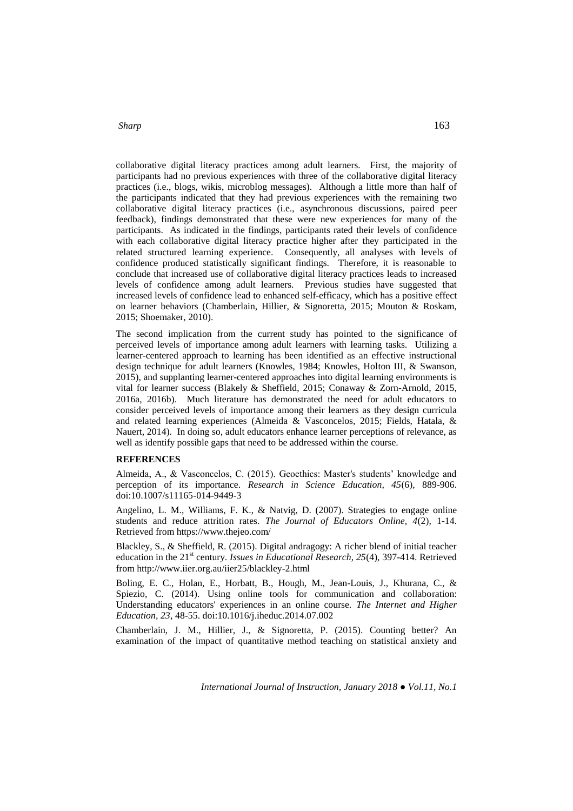collaborative digital literacy practices among adult learners. First, the majority of participants had no previous experiences with three of the collaborative digital literacy practices (i.e., blogs, wikis, microblog messages). Although a little more than half of the participants indicated that they had previous experiences with the remaining two collaborative digital literacy practices (i.e., asynchronous discussions, paired peer feedback), findings demonstrated that these were new experiences for many of the participants. As indicated in the findings, participants rated their levels of confidence with each collaborative digital literacy practice higher after they participated in the related structured learning experience. Consequently, all analyses with levels of confidence produced statistically significant findings. Therefore, it is reasonable to conclude that increased use of collaborative digital literacy practices leads to increased levels of confidence among adult learners. Previous studies have suggested that increased levels of confidence lead to enhanced self-efficacy, which has a positive effect on learner behaviors (Chamberlain, Hillier, & Signoretta, 2015; Mouton & Roskam, 2015; Shoemaker, 2010).

The second implication from the current study has pointed to the significance of perceived levels of importance among adult learners with learning tasks. Utilizing a learner-centered approach to learning has been identified as an effective instructional design technique for adult learners (Knowles, 1984; Knowles, Holton III, & Swanson, 2015), and supplanting learner-centered approaches into digital learning environments is vital for learner success (Blakely & Sheffield, 2015; Conaway & Zorn-Arnold, 2015, 2016a, 2016b). Much literature has demonstrated the need for adult educators to consider perceived levels of importance among their learners as they design curricula and related learning experiences (Almeida & Vasconcelos, 2015; Fields, Hatala, & Nauert, 2014). In doing so, adult educators enhance learner perceptions of relevance, as well as identify possible gaps that need to be addressed within the course.

## **REFERENCES**

Almeida, A., & Vasconcelos, C. (2015). Geoethics: Master's students' knowledge and perception of its importance. *Research in Science Education, 45*(6), 889-906. doi:10.1007/s11165-014-9449-3

Angelino, L. M., Williams, F. K., & Natvig, D. (2007). Strategies to engage online students and reduce attrition rates. *The Journal of Educators Online, 4*(2), 1-14. Retrieved from https://www.thejeo.com/

Blackley, S., & Sheffield, R. (2015). Digital andragogy: A richer blend of initial teacher education in the 21<sup>st</sup> century. *Issues in Educational Research*, 25(4), 397-414. Retrieved from http://www.iier.org.au/iier25/blackley-2.html

Boling, E. C., Holan, E., Horbatt, B., Hough, M., Jean-Louis, J., Khurana, C., & Spiezio, C. (2014). Using online tools for communication and collaboration: Understanding educators' experiences in an online course. *The Internet and Higher Education, 23*, 48-55. doi:10.1016/j.iheduc.2014.07.002

Chamberlain, J. M., Hillier, J., & Signoretta, P. (2015). Counting better? An examination of the impact of quantitative method teaching on statistical anxiety and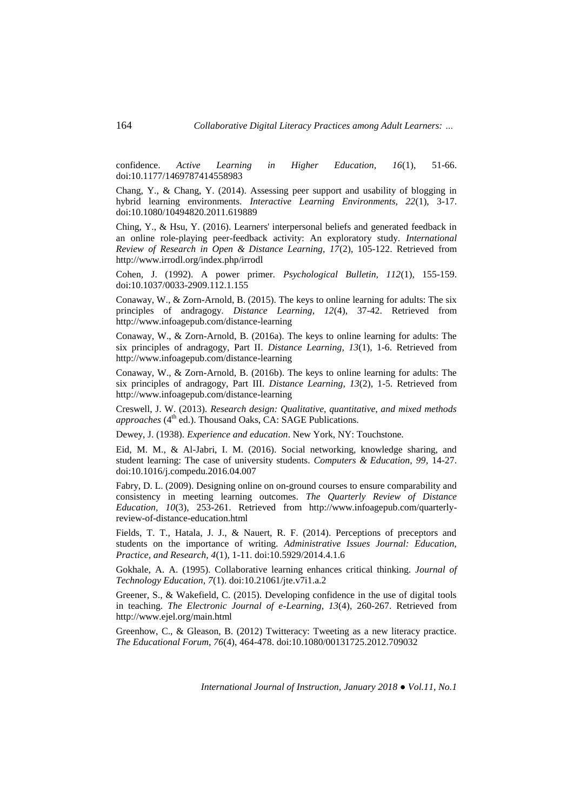confidence. *Active Learning in Higher Education, 16*(1), 51-66. doi:10.1177/1469787414558983

Chang, Y., & Chang, Y. (2014). Assessing peer support and usability of blogging in hybrid learning environments. *Interactive Learning Environments, 22*(1), 3-17. doi:10.1080/10494820.2011.619889

Ching, Y., & Hsu, Y. (2016). Learners' interpersonal beliefs and generated feedback in an online role-playing peer-feedback activity: An exploratory study. *International Review of Research in Open & Distance Learning, 17*(2), 105-122. Retrieved from http://www.irrodl.org/index.php/irrodl

Cohen, J. (1992). A power primer. *Psychological Bulletin, 112*(1), 155-159. doi:10.1037/0033-2909.112.1.155

Conaway, W., & Zorn-Arnold, B. (2015). The keys to online learning for adults: The six principles of andragogy. *Distance Learning, 12*(4), 37-42. Retrieved from http://www.infoagepub.com/distance-learning

Conaway, W., & Zorn-Arnold, B. (2016a). The keys to online learning for adults: The six principles of andragogy, Part II. *Distance Learning, 13*(1), 1-6. Retrieved from http://www.infoagepub.com/distance-learning

Conaway, W., & Zorn-Arnold, B. (2016b). The keys to online learning for adults: The six principles of andragogy, Part III. *Distance Learning, 13*(2), 1-5. Retrieved from http://www.infoagepub.com/distance-learning

Creswell, J. W. (2013). *Research design: Qualitative, quantitative, and mixed methods approaches* (4<sup>th</sup> ed.). Thousand Oaks, CA: SAGE Publications.

Dewey, J. (1938). *Experience and education*. New York, NY: Touchstone.

Eid, M. M., & Al-Jabri, I. M. (2016). Social networking, knowledge sharing, and student learning: The case of university students. *Computers & Education, 99*, 14-27. doi:10.1016/j.compedu.2016.04.007

Fabry, D. L. (2009). Designing online on on-ground courses to ensure comparability and consistency in meeting learning outcomes. *The Quarterly Review of Distance Education, 10*(3), 253-261. Retrieved from http://www.infoagepub.com/quarterlyreview-of-distance-education.html

Fields, T. T., Hatala, J. J., & Nauert, R. F. (2014). Perceptions of preceptors and students on the importance of writing. *Administrative Issues Journal: Education, Practice, and Research, 4*(1), 1-11. doi:10.5929/2014.4.1.6

Gokhale, A. A. (1995). Collaborative learning enhances critical thinking. *Journal of Technology Education, 7*(1). doi:10.21061/jte.v7i1.a.2

Greener, S., & Wakefield, C. (2015). Developing confidence in the use of digital tools in teaching. *The Electronic Journal of e-Learning, 13*(4), 260-267. Retrieved from http://www.ejel.org/main.html

Greenhow, C., & Gleason, B. (2012) Twitteracy: Tweeting as a new literacy practice. *The Educational Forum, 76*(4), 464-478. doi:10.1080/00131725.2012.709032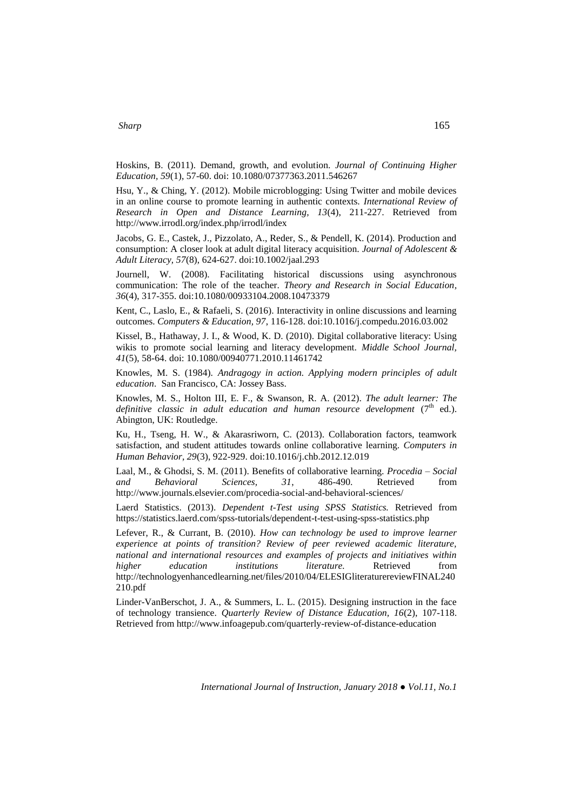Hoskins, B. (2011). Demand, growth, and evolution. *Journal of Continuing Higher Education, 59*(1), 57-60. doi: 10.1080/07377363.2011.546267

Hsu, Y., & Ching, Y. (2012). Mobile microblogging: Using Twitter and mobile devices in an online course to promote learning in authentic contexts. *International Review of Research in Open and Distance Learning, 13*(4), 211-227. Retrieved from http://www.irrodl.org/index.php/irrodl/index

Jacobs, G. E., Castek, J., Pizzolato, A., Reder, S., & Pendell, K. (2014). Production and consumption: A closer look at adult digital literacy acquisition. *Journal of Adolescent & Adult Literacy, 57*(8), 624-627. doi:10.1002/jaal.293

Journell, W. (2008). Facilitating historical discussions using asynchronous communication: The role of the teacher. *Theory and Research in Social Education, 36*(4), 317-355. doi:10.1080/00933104.2008.10473379

Kent, C., Laslo, E., & Rafaeli, S. (2016). Interactivity in online discussions and learning outcomes. *Computers & Education, 97*, 116-128. doi:10.1016/j.compedu.2016.03.002

Kissel, B., Hathaway, J. I., & Wood, K. D. (2010). Digital collaborative literacy: Using wikis to promote social learning and literacy development. *Middle School Journal, 41*(5), 58-64. doi: 10.1080/00940771.2010.11461742

Knowles, M. S. (1984). *Andragogy in action. Applying modern principles of adult education*. San Francisco, CA: Jossey Bass.

Knowles, M. S., Holton III, E. F., & Swanson, R. A. (2012). *The adult learner: The definitive classic in adult education and human resource development* (7<sup>th</sup> ed.). Abington, UK: Routledge.

Ku, H., Tseng, H. W., & Akarasriworn, C. (2013). Collaboration factors, teamwork satisfaction, and student attitudes towards online collaborative learning. *Computers in Human Behavior, 29*(3), 922-929. doi:10.1016/j.chb.2012.12.019

Laal, M., & Ghodsi, S. M. (2011). Benefits of collaborative learning. *Procedia – Social and Behavioral Sciences, 31*, 486-490. Retrieved from http://www.journals.elsevier.com/procedia-social-and-behavioral-sciences/

Laerd Statistics. (2013). *Dependent t-Test using SPSS Statistics.* Retrieved from https://statistics.laerd.com/spss-tutorials/dependent-t-test-using-spss-statistics.php

Lefever, R., & Currant, B. (2010). *How can technology be used to improve learner experience at points of transition? Review of peer reviewed academic literature, national and international resources and examples of projects and initiatives within higher education institutions literature.* Retrieved from http://technologyenhancedlearning.net/files/2010/04/ELESIGliteraturereviewFINAL240 210.pdf

Linder-VanBerschot, J. A., & Summers, L. L. (2015). Designing instruction in the face of technology transience. *Quarterly Review of Distance Education, 16*(2), 107-118. Retrieved from http://www.infoagepub.com/quarterly-review-of-distance-education